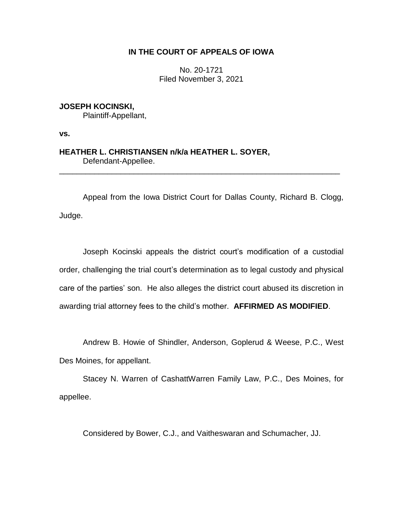# **IN THE COURT OF APPEALS OF IOWA**

No. 20-1721 Filed November 3, 2021

**JOSEPH KOCINSKI,** Plaintiff-Appellant,

**vs.**

**HEATHER L. CHRISTIANSEN n/k/a HEATHER L. SOYER,** Defendant-Appellee.

Appeal from the Iowa District Court for Dallas County, Richard B. Clogg, Judge.

\_\_\_\_\_\_\_\_\_\_\_\_\_\_\_\_\_\_\_\_\_\_\_\_\_\_\_\_\_\_\_\_\_\_\_\_\_\_\_\_\_\_\_\_\_\_\_\_\_\_\_\_\_\_\_\_\_\_\_\_\_\_\_\_

Joseph Kocinski appeals the district court's modification of a custodial order, challenging the trial court's determination as to legal custody and physical care of the parties' son. He also alleges the district court abused its discretion in awarding trial attorney fees to the child's mother. **AFFIRMED AS MODIFIED**.

Andrew B. Howie of Shindler, Anderson, Goplerud & Weese, P.C., West Des Moines, for appellant.

Stacey N. Warren of CashattWarren Family Law, P.C., Des Moines, for appellee.

Considered by Bower, C.J., and Vaitheswaran and Schumacher, JJ.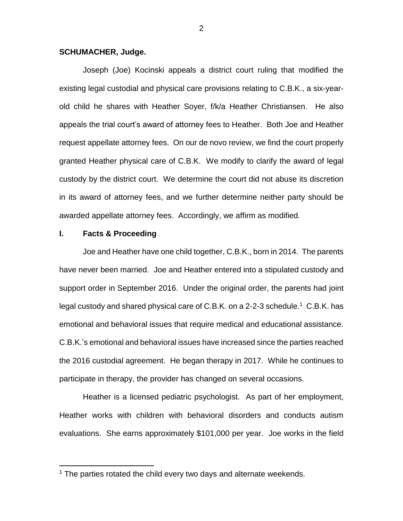## **SCHUMACHER, Judge.**

Joseph (Joe) Kocinski appeals a district court ruling that modified the existing legal custodial and physical care provisions relating to C.B.K., a six-yearold child he shares with Heather Soyer, f/k/a Heather Christiansen. He also appeals the trial court's award of attorney fees to Heather. Both Joe and Heather request appellate attorney fees. On our de novo review, we find the court properly granted Heather physical care of C.B.K. We modify to clarify the award of legal custody by the district court. We determine the court did not abuse its discretion in its award of attorney fees, and we further determine neither party should be awarded appellate attorney fees. Accordingly, we affirm as modified.

#### **I. Facts & Proceeding**

 $\overline{a}$ 

Joe and Heather have one child together, C.B.K., born in 2014. The parents have never been married. Joe and Heather entered into a stipulated custody and support order in September 2016. Under the original order, the parents had joint legal custody and shared physical care of C.B.K. on a 2-2-3 schedule.<sup>1</sup> C.B.K. has emotional and behavioral issues that require medical and educational assistance. C.B.K.'s emotional and behavioral issues have increased since the parties reached the 2016 custodial agreement. He began therapy in 2017. While he continues to participate in therapy, the provider has changed on several occasions.

Heather is a licensed pediatric psychologist. As part of her employment, Heather works with children with behavioral disorders and conducts autism evaluations. She earns approximately \$101,000 per year. Joe works in the field

<sup>&</sup>lt;sup>1</sup> The parties rotated the child every two days and alternate weekends.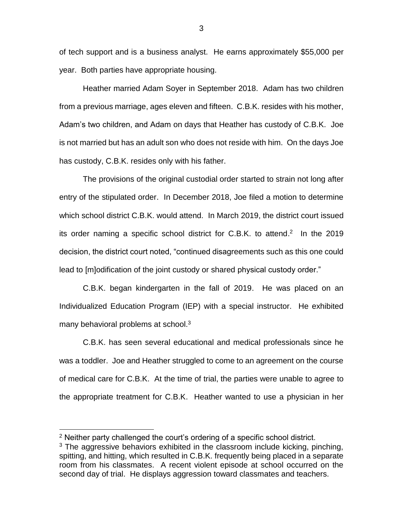of tech support and is a business analyst. He earns approximately \$55,000 per year. Both parties have appropriate housing.

Heather married Adam Soyer in September 2018. Adam has two children from a previous marriage, ages eleven and fifteen. C.B.K. resides with his mother, Adam's two children, and Adam on days that Heather has custody of C.B.K. Joe is not married but has an adult son who does not reside with him. On the days Joe has custody, C.B.K. resides only with his father.

The provisions of the original custodial order started to strain not long after entry of the stipulated order. In December 2018, Joe filed a motion to determine which school district C.B.K. would attend. In March 2019, the district court issued its order naming a specific school district for C.B.K. to attend.<sup>2</sup> In the 2019 decision, the district court noted, "continued disagreements such as this one could lead to [m]odification of the joint custody or shared physical custody order."

C.B.K. began kindergarten in the fall of 2019. He was placed on an Individualized Education Program (IEP) with a special instructor. He exhibited many behavioral problems at school. $3$ 

C.B.K. has seen several educational and medical professionals since he was a toddler. Joe and Heather struggled to come to an agreement on the course of medical care for C.B.K. At the time of trial, the parties were unable to agree to the appropriate treatment for C.B.K. Heather wanted to use a physician in her

<sup>2</sup> Neither party challenged the court's ordering of a specific school district.

 $3$  The aggressive behaviors exhibited in the classroom include kicking, pinching, spitting, and hitting, which resulted in C.B.K. frequently being placed in a separate room from his classmates. A recent violent episode at school occurred on the second day of trial. He displays aggression toward classmates and teachers.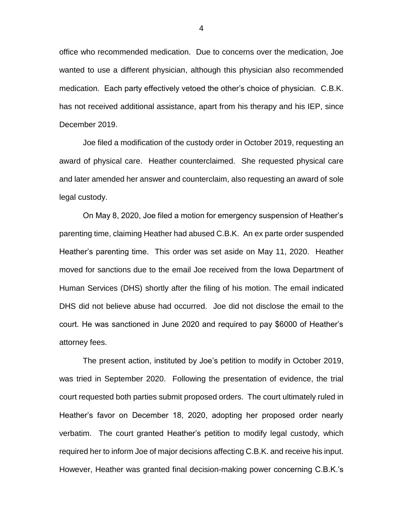office who recommended medication. Due to concerns over the medication, Joe wanted to use a different physician, although this physician also recommended medication. Each party effectively vetoed the other's choice of physician. C.B.K. has not received additional assistance, apart from his therapy and his IEP, since December 2019.

Joe filed a modification of the custody order in October 2019, requesting an award of physical care. Heather counterclaimed. She requested physical care and later amended her answer and counterclaim, also requesting an award of sole legal custody.

On May 8, 2020, Joe filed a motion for emergency suspension of Heather's parenting time, claiming Heather had abused C.B.K. An ex parte order suspended Heather's parenting time. This order was set aside on May 11, 2020. Heather moved for sanctions due to the email Joe received from the Iowa Department of Human Services (DHS) shortly after the filing of his motion. The email indicated DHS did not believe abuse had occurred. Joe did not disclose the email to the court. He was sanctioned in June 2020 and required to pay \$6000 of Heather's attorney fees.

The present action, instituted by Joe's petition to modify in October 2019, was tried in September 2020. Following the presentation of evidence, the trial court requested both parties submit proposed orders. The court ultimately ruled in Heather's favor on December 18, 2020, adopting her proposed order nearly verbatim. The court granted Heather's petition to modify legal custody, which required her to inform Joe of major decisions affecting C.B.K. and receive his input. However, Heather was granted final decision-making power concerning C.B.K.'s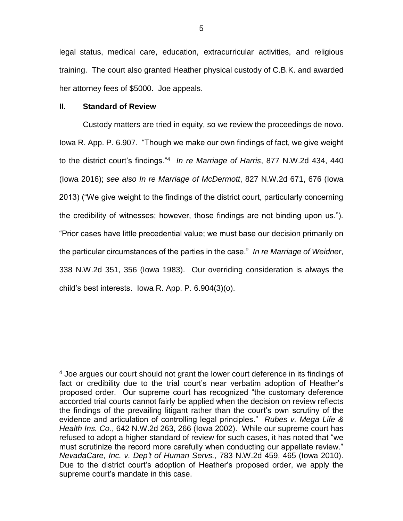legal status, medical care, education, extracurricular activities, and religious training. The court also granted Heather physical custody of C.B.K. and awarded her attorney fees of \$5000. Joe appeals.

## **II. Standard of Review**

Custody matters are tried in equity, so we review the proceedings de novo. Iowa R. App. P. 6.907. "Though we make our own findings of fact, we give weight to the district court's findings."<sup>4</sup> *In re Marriage of Harris*, 877 N.W.2d 434, 440 (Iowa 2016); *see also In re Marriage of McDermott*, 827 N.W.2d 671, 676 (Iowa 2013) ("We give weight to the findings of the district court, particularly concerning the credibility of witnesses; however, those findings are not binding upon us."). "Prior cases have little precedential value; we must base our decision primarily on the particular circumstances of the parties in the case." *In re Marriage of Weidner*, 338 N.W.2d 351, 356 (Iowa 1983). Our overriding consideration is always the child's best interests. Iowa R. App. P. 6.904(3)(o).

 $\overline{a}$ <sup>4</sup> Joe argues our court should not grant the lower court deference in its findings of fact or credibility due to the trial court's near verbatim adoption of Heather's proposed order. Our supreme court has recognized "the customary deference accorded trial courts cannot fairly be applied when the decision on review reflects the findings of the prevailing litigant rather than the court's own scrutiny of the evidence and articulation of controlling legal principles." *Rubes v. Mega Life & Health Ins. Co.*, 642 N.W.2d 263, 266 (Iowa 2002). While our supreme court has refused to adopt a higher standard of review for such cases, it has noted that "we must scrutinize the record more carefully when conducting our appellate review." *NevadaCare, Inc. v. Dep't of Human Servs.*, 783 N.W.2d 459, 465 (Iowa 2010). Due to the district court's adoption of Heather's proposed order, we apply the supreme court's mandate in this case.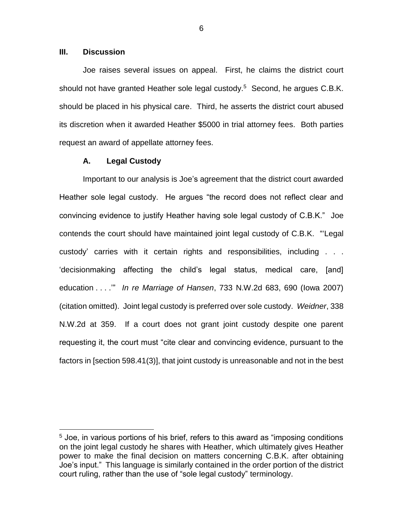## **III. Discussion**

 $\overline{a}$ 

Joe raises several issues on appeal. First, he claims the district court should not have granted Heather sole legal custody.<sup>5</sup> Second, he argues C.B.K. should be placed in his physical care. Third, he asserts the district court abused its discretion when it awarded Heather \$5000 in trial attorney fees. Both parties request an award of appellate attorney fees.

## **A. Legal Custody**

Important to our analysis is Joe's agreement that the district court awarded Heather sole legal custody. He argues "the record does not reflect clear and convincing evidence to justify Heather having sole legal custody of C.B.K." Joe contends the court should have maintained joint legal custody of C.B.K. "'Legal custody' carries with it certain rights and responsibilities, including . . . 'decisionmaking affecting the child's legal status, medical care, [and] education . . . .'" *In re Marriage of Hansen*, 733 N.W.2d 683, 690 (Iowa 2007) (citation omitted). Joint legal custody is preferred over sole custody. *Weidner*, 338 N.W.2d at 359. If a court does not grant joint custody despite one parent requesting it, the court must "cite clear and convincing evidence, pursuant to the factors in [section 598.41(3)], that joint custody is unreasonable and not in the best

6

<sup>&</sup>lt;sup>5</sup> Joe, in various portions of his brief, refers to this award as "imposing conditions on the joint legal custody he shares with Heather, which ultimately gives Heather power to make the final decision on matters concerning C.B.K. after obtaining Joe's input." This language is similarly contained in the order portion of the district court ruling, rather than the use of "sole legal custody" terminology.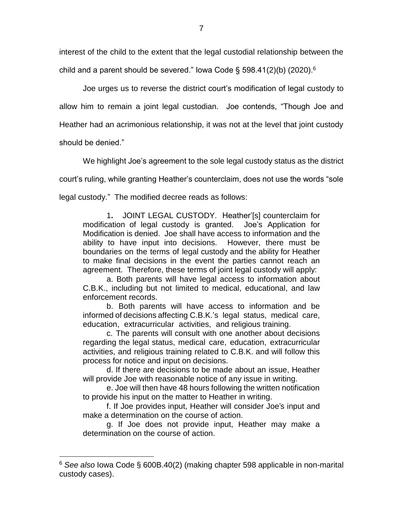interest of the child to the extent that the legal custodial relationship between the child and a parent should be severed." Iowa Code § 598.41(2)(b) (2020).<sup>6</sup>

Joe urges us to reverse the district court's modification of legal custody to allow him to remain a joint legal custodian. Joe contends, "Though Joe and Heather had an acrimonious relationship, it was not at the level that joint custody should be denied."

We highlight Joe's agreement to the sole legal custody status as the district

court's ruling, while granting Heather's counterclaim, does not use the words "sole

legal custody." The modified decree reads as follows:

1**.** JOINT LEGAL CUSTODY. Heather'[s] counterclaim for modification of legal custody is granted. Joe's Application for Modification is denied. Joe shall have access to information and the ability to have input into decisions. However, there must be boundaries on the terms of legal custody and the ability for Heather to make final decisions in the event the parties cannot reach an agreement. Therefore, these terms of joint legal custody will apply:

a. Both parents will have legal access to information about C.B.K., including but not limited to medical, educational, and law enforcement records.

b. Both parents will have access to information and be informed of decisions affecting C.B.K.'s legal status, medical care, education, extracurricular activities, and religious training.

c. The parents will consult with one another about decisions regarding the legal status, medical care, education, extracurricular activities, and religious training related to C.B.K. and will follow this process for notice and input on decisions.

d. If there are decisions to be made about an issue, Heather will provide Joe with reasonable notice of any issue in writing.

e. Joe will then have 48 hours following the written notification to provide his input on the matter to Heather in writing.

f. If Joe provides input, Heather will consider Joe's input and make a determination on the course of action.

g. If Joe does not provide input, Heather may make a determination on the course of action.

<sup>6</sup> *See also* Iowa Code § 600B.40(2) (making chapter 598 applicable in non-marital custody cases).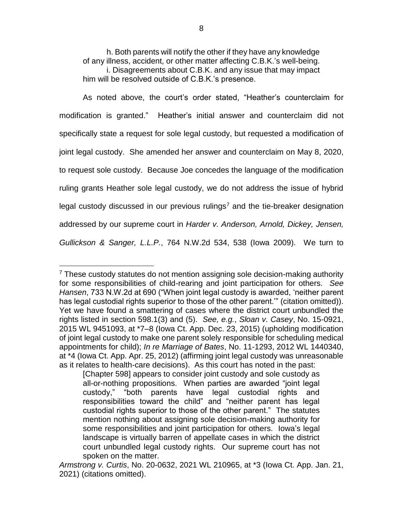h. Both parents will notify the other if they have any knowledge of any illness, accident, or other matter affecting C.B.K.'s well-being. i. Disagreements about C.B.K. and any issue that may impact him will be resolved outside of C.B.K.'s presence.

As noted above, the court's order stated, "Heather's counterclaim for modification is granted." Heather's initial answer and counterclaim did not specifically state a request for sole legal custody, but requested a modification of joint legal custody. She amended her answer and counterclaim on May 8, 2020, to request sole custody. Because Joe concedes the language of the modification ruling grants Heather sole legal custody, we do not address the issue of hybrid legal custody discussed in our previous rulings<sup>7</sup> and the tie-breaker designation addressed by our supreme court in *Harder v. Anderson, Arnold, Dickey, Jensen, Gullickson & Sanger, L.L.P.*, 764 N.W.2d 534, 538 (Iowa 2009). We turn to

 $7$  These custody statutes do not mention assigning sole decision-making authority for some responsibilities of child-rearing and joint participation for others. *See Hansen*, 733 N.W.2d at 690 ("When joint legal custody is awarded, 'neither parent has legal custodial rights superior to those of the other parent.'" (citation omitted)). Yet we have found a smattering of cases where the district court unbundled the rights listed in section 598.1(3) and (5). *See, e.g.*, *Sloan v. Casey*, No. 15-0921, 2015 WL 9451093, at \*7–8 (Iowa Ct. App. Dec. 23, 2015) (upholding modification of joint legal custody to make one parent solely responsible for scheduling medical appointments for child); *In re Marriage of Bates*, No. 11-1293, 2012 WL 1440340, at \*4 (Iowa Ct. App. Apr. 25, 2012) (affirming joint legal custody was unreasonable as it relates to health-care decisions). As this court has noted in the past:

<sup>[</sup>Chapter 598] appears to consider joint custody and sole custody as all-or-nothing propositions. When parties are awarded "joint legal custody," "both parents have legal custodial rights and responsibilities toward the child" and "neither parent has legal custodial rights superior to those of the other parent." The statutes mention nothing about assigning sole decision-making authority for some responsibilities and joint participation for others. Iowa's legal landscape is virtually barren of appellate cases in which the district court unbundled legal custody rights. Our supreme court has not spoken on the matter.

*Armstrong v. Curtis*, No. 20-0632, 2021 WL 210965, at \*3 (Iowa Ct. App. Jan. 21, 2021) (citations omitted).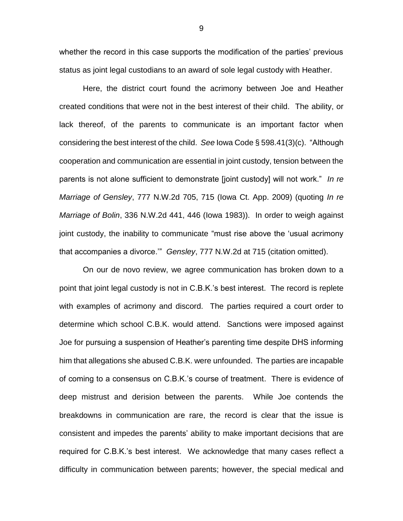whether the record in this case supports the modification of the parties' previous status as joint legal custodians to an award of sole legal custody with Heather.

Here, the district court found the acrimony between Joe and Heather created conditions that were not in the best interest of their child. The ability, or lack thereof, of the parents to communicate is an important factor when considering the best interest of the child. *See* Iowa Code § 598.41(3)(c). "Although cooperation and communication are essential in joint custody, tension between the parents is not alone sufficient to demonstrate [joint custody] will not work." *In re Marriage of Gensley*, 777 N.W.2d 705, 715 (Iowa Ct. App. 2009) (quoting *In re Marriage of Bolin*, 336 N.W.2d 441, 446 (Iowa 1983)). In order to weigh against joint custody, the inability to communicate "must rise above the 'usual acrimony that accompanies a divorce.'" *Gensley*, 777 N.W.2d at 715 (citation omitted).

On our de novo review, we agree communication has broken down to a point that joint legal custody is not in C.B.K.'s best interest. The record is replete with examples of acrimony and discord. The parties required a court order to determine which school C.B.K. would attend. Sanctions were imposed against Joe for pursuing a suspension of Heather's parenting time despite DHS informing him that allegations she abused C.B.K. were unfounded. The parties are incapable of coming to a consensus on C.B.K.'s course of treatment. There is evidence of deep mistrust and derision between the parents. While Joe contends the breakdowns in communication are rare, the record is clear that the issue is consistent and impedes the parents' ability to make important decisions that are required for C.B.K.'s best interest. We acknowledge that many cases reflect a difficulty in communication between parents; however, the special medical and

9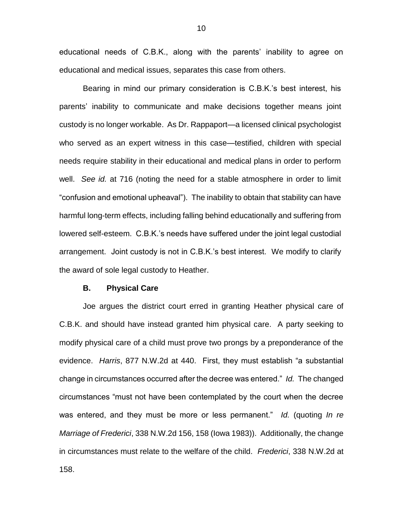educational needs of C.B.K., along with the parents' inability to agree on educational and medical issues, separates this case from others.

Bearing in mind our primary consideration is C.B.K.'s best interest, his parents' inability to communicate and make decisions together means joint custody is no longer workable. As Dr. Rappaport—a licensed clinical psychologist who served as an expert witness in this case—testified, children with special needs require stability in their educational and medical plans in order to perform well. *See id.* at 716 (noting the need for a stable atmosphere in order to limit "confusion and emotional upheaval"). The inability to obtain that stability can have harmful long-term effects, including falling behind educationally and suffering from lowered self-esteem. C.B.K.'s needs have suffered under the joint legal custodial arrangement. Joint custody is not in C.B.K.'s best interest. We modify to clarify the award of sole legal custody to Heather.

#### **B. Physical Care**

Joe argues the district court erred in granting Heather physical care of C.B.K. and should have instead granted him physical care. A party seeking to modify physical care of a child must prove two prongs by a preponderance of the evidence. *Harris*, 877 N.W.2d at 440. First, they must establish "a substantial change in circumstances occurred after the decree was entered." *Id.* The changed circumstances "must not have been contemplated by the court when the decree was entered, and they must be more or less permanent." *Id.* (quoting *In re Marriage of Frederici*, 338 N.W.2d 156, 158 (Iowa 1983)). Additionally, the change in circumstances must relate to the welfare of the child. *Frederici*, 338 N.W.2d at 158.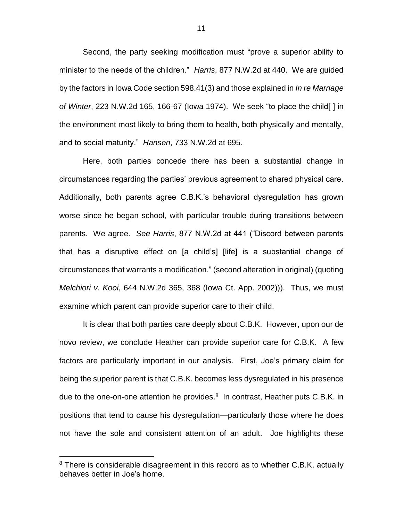Second, the party seeking modification must "prove a superior ability to minister to the needs of the children." *Harris*, 877 N.W.2d at 440. We are guided by the factors in Iowa Code section 598.41(3) and those explained in *In re Marriage of Winter*, 223 N.W.2d 165, 166-67 (Iowa 1974). We seek "to place the child[ ] in the environment most likely to bring them to health, both physically and mentally, and to social maturity." *Hansen*, 733 N.W.2d at 695.

Here, both parties concede there has been a substantial change in circumstances regarding the parties' previous agreement to shared physical care. Additionally, both parents agree C.B.K.'s behavioral dysregulation has grown worse since he began school, with particular trouble during transitions between parents. We agree. *See Harris*, 877 N.W.2d at 441 ("Discord between parents that has a disruptive effect on [a child's] [life] is a substantial change of circumstances that warrants a modification." (second alteration in original) (quoting *Melchiori v. Kooi*, 644 N.W.2d 365, 368 (Iowa Ct. App. 2002))). Thus, we must examine which parent can provide superior care to their child.

It is clear that both parties care deeply about C.B.K. However, upon our de novo review, we conclude Heather can provide superior care for C.B.K. A few factors are particularly important in our analysis. First, Joe's primary claim for being the superior parent is that C.B.K. becomes less dysregulated in his presence due to the one-on-one attention he provides.<sup>8</sup> In contrast, Heather puts C.B.K. in positions that tend to cause his dysregulation—particularly those where he does not have the sole and consistent attention of an adult. Joe highlights these

<sup>&</sup>lt;sup>8</sup> There is considerable disagreement in this record as to whether C.B.K. actually behaves better in Joe's home.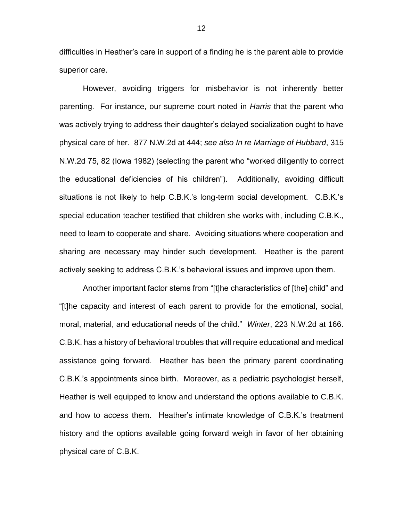difficulties in Heather's care in support of a finding he is the parent able to provide superior care.

However, avoiding triggers for misbehavior is not inherently better parenting. For instance, our supreme court noted in *Harris* that the parent who was actively trying to address their daughter's delayed socialization ought to have physical care of her. 877 N.W.2d at 444; *see also In re Marriage of Hubbard*, 315 N.W.2d 75, 82 (Iowa 1982) (selecting the parent who "worked diligently to correct the educational deficiencies of his children"). Additionally, avoiding difficult situations is not likely to help C.B.K.'s long-term social development. C.B.K.'s special education teacher testified that children she works with, including C.B.K., need to learn to cooperate and share. Avoiding situations where cooperation and sharing are necessary may hinder such development. Heather is the parent actively seeking to address C.B.K.'s behavioral issues and improve upon them.

Another important factor stems from "[t]he characteristics of [the] child" and "[t]he capacity and interest of each parent to provide for the emotional, social, moral, material, and educational needs of the child." *Winter*, 223 N.W.2d at 166. C.B.K. has a history of behavioral troubles that will require educational and medical assistance going forward. Heather has been the primary parent coordinating C.B.K.'s appointments since birth. Moreover, as a pediatric psychologist herself, Heather is well equipped to know and understand the options available to C.B.K. and how to access them. Heather's intimate knowledge of C.B.K.'s treatment history and the options available going forward weigh in favor of her obtaining physical care of C.B.K.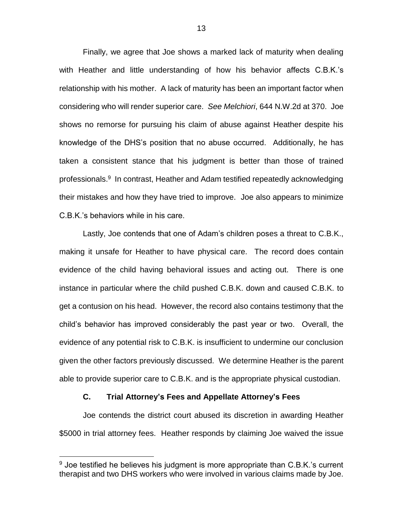Finally, we agree that Joe shows a marked lack of maturity when dealing with Heather and little understanding of how his behavior affects C.B.K.'s relationship with his mother. A lack of maturity has been an important factor when considering who will render superior care. *See Melchiori*, 644 N.W.2d at 370. Joe shows no remorse for pursuing his claim of abuse against Heather despite his knowledge of the DHS's position that no abuse occurred. Additionally, he has taken a consistent stance that his judgment is better than those of trained professionals.<sup>9</sup> In contrast, Heather and Adam testified repeatedly acknowledging their mistakes and how they have tried to improve. Joe also appears to minimize C.B.K.'s behaviors while in his care.

Lastly, Joe contends that one of Adam's children poses a threat to C.B.K., making it unsafe for Heather to have physical care. The record does contain evidence of the child having behavioral issues and acting out. There is one instance in particular where the child pushed C.B.K. down and caused C.B.K. to get a contusion on his head. However, the record also contains testimony that the child's behavior has improved considerably the past year or two. Overall, the evidence of any potential risk to C.B.K. is insufficient to undermine our conclusion given the other factors previously discussed. We determine Heather is the parent able to provide superior care to C.B.K. and is the appropriate physical custodian.

## **C. Trial Attorney's Fees and Appellate Attorney's Fees**

 $\overline{a}$ 

Joe contends the district court abused its discretion in awarding Heather \$5000 in trial attorney fees. Heather responds by claiming Joe waived the issue

 $9$  Joe testified he believes his judgment is more appropriate than C.B.K.'s current therapist and two DHS workers who were involved in various claims made by Joe.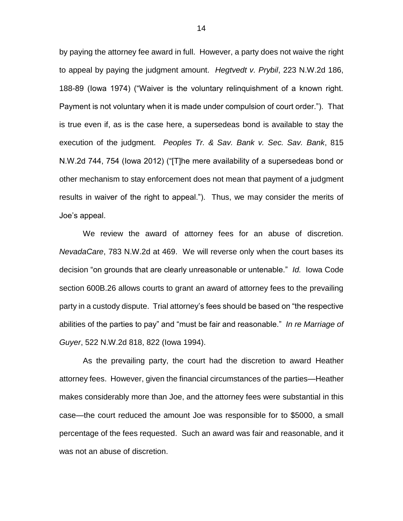by paying the attorney fee award in full. However, a party does not waive the right to appeal by paying the judgment amount. *Hegtvedt v. Prybil*, 223 N.W.2d 186, 188-89 (Iowa 1974) ("Waiver is the voluntary relinquishment of a known right. Payment is not voluntary when it is made under compulsion of court order."). That is true even if, as is the case here, a supersedeas bond is available to stay the execution of the judgment. *Peoples Tr. & Sav. Bank v. Sec. Sav. Bank*, 815 N.W.2d 744, 754 (Iowa 2012) ("[T]he mere availability of a supersedeas bond or other mechanism to stay enforcement does not mean that payment of a judgment results in waiver of the right to appeal."). Thus, we may consider the merits of Joe's appeal.

We review the award of attorney fees for an abuse of discretion. *NevadaCare*, 783 N.W.2d at 469. We will reverse only when the court bases its decision "on grounds that are clearly unreasonable or untenable." *Id.* Iowa Code section 600B.26 allows courts to grant an award of attorney fees to the prevailing party in a custody dispute. Trial attorney's fees should be based on "the respective abilities of the parties to pay" and "must be fair and reasonable." *In re Marriage of Guyer*, 522 N.W.2d 818, 822 (Iowa 1994).

As the prevailing party, the court had the discretion to award Heather attorney fees. However, given the financial circumstances of the parties—Heather makes considerably more than Joe, and the attorney fees were substantial in this case—the court reduced the amount Joe was responsible for to \$5000, a small percentage of the fees requested. Such an award was fair and reasonable, and it was not an abuse of discretion.